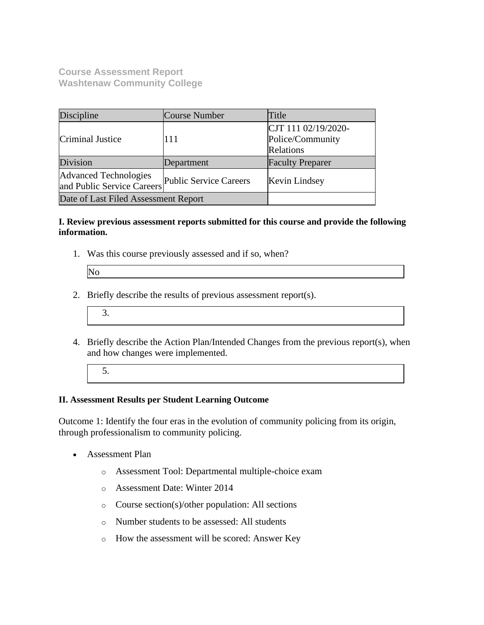**Course Assessment Report Washtenaw Community College**

| Discipline                                                 | Course Number          | Title                                                |
|------------------------------------------------------------|------------------------|------------------------------------------------------|
| Criminal Justice                                           | 111                    | CJT 111 02/19/2020-<br>Police/Community<br>Relations |
| Division                                                   | Department             | <b>Faculty Preparer</b>                              |
| <b>Advanced Technologies</b><br>and Public Service Careers | Public Service Careers | Kevin Lindsey                                        |
| Date of Last Filed Assessment Report                       |                        |                                                      |

## **I. Review previous assessment reports submitted for this course and provide the following information.**

1. Was this course previously assessed and if so, when?

| $\mathbf N$ |  |
|-------------|--|
|             |  |

- 2. Briefly describe the results of previous assessment report(s).
	- 3.
- 4. Briefly describe the Action Plan/Intended Changes from the previous report(s), when and how changes were implemented.
	- 5.

## **II. Assessment Results per Student Learning Outcome**

Outcome 1: Identify the four eras in the evolution of community policing from its origin, through professionalism to community policing.

- Assessment Plan
	- o Assessment Tool: Departmental multiple-choice exam
	- o Assessment Date: Winter 2014
	- o Course section(s)/other population: All sections
	- o Number students to be assessed: All students
	- o How the assessment will be scored: Answer Key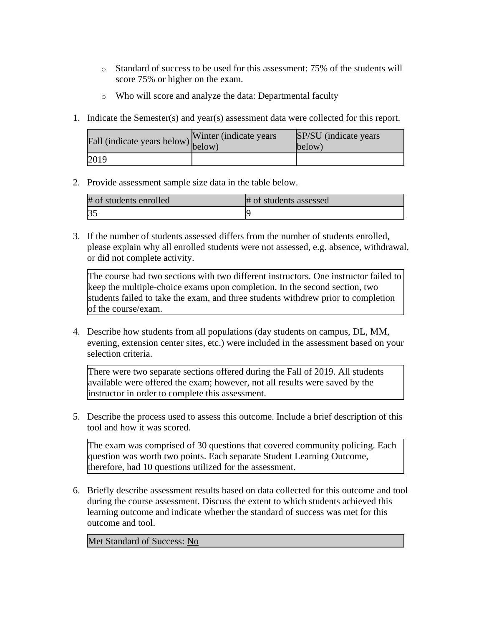- o Standard of success to be used for this assessment: 75% of the students will score 75% or higher on the exam.
- o Who will score and analyze the data: Departmental faculty
- 1. Indicate the Semester(s) and year(s) assessment data were collected for this report.

| riall (indicate years below) below) | Winter (indicate years) | SP/SU (indicate years)<br>below) |
|-------------------------------------|-------------------------|----------------------------------|
| 2019                                |                         |                                  |

2. Provide assessment sample size data in the table below.

| # of students enrolled | # of students assessed |
|------------------------|------------------------|
|                        |                        |

3. If the number of students assessed differs from the number of students enrolled, please explain why all enrolled students were not assessed, e.g. absence, withdrawal, or did not complete activity.

The course had two sections with two different instructors. One instructor failed to keep the multiple-choice exams upon completion. In the second section, two students failed to take the exam, and three students withdrew prior to completion of the course/exam.

4. Describe how students from all populations (day students on campus, DL, MM, evening, extension center sites, etc.) were included in the assessment based on your selection criteria.

There were two separate sections offered during the Fall of 2019. All students available were offered the exam; however, not all results were saved by the instructor in order to complete this assessment.

5. Describe the process used to assess this outcome. Include a brief description of this tool and how it was scored.

The exam was comprised of 30 questions that covered community policing. Each question was worth two points. Each separate Student Learning Outcome, therefore, had 10 questions utilized for the assessment.

6. Briefly describe assessment results based on data collected for this outcome and tool during the course assessment. Discuss the extent to which students achieved this learning outcome and indicate whether the standard of success was met for this outcome and tool.

Met Standard of Success: No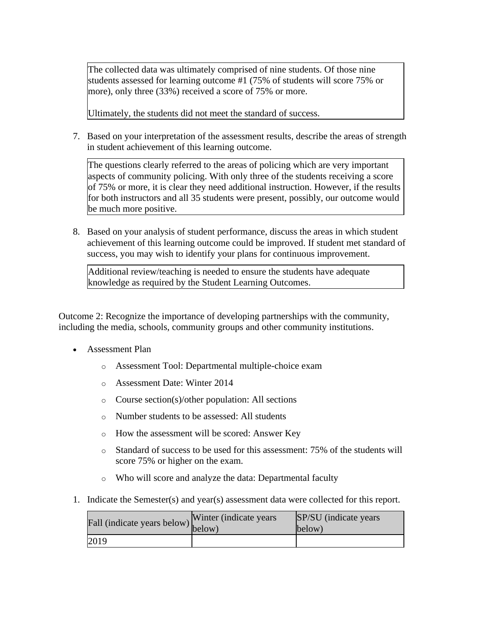The collected data was ultimately comprised of nine students. Of those nine students assessed for learning outcome #1 (75% of students will score 75% or more), only three (33%) received a score of 75% or more.

Ultimately, the students did not meet the standard of success.

7. Based on your interpretation of the assessment results, describe the areas of strength in student achievement of this learning outcome.

The questions clearly referred to the areas of policing which are very important aspects of community policing. With only three of the students receiving a score of 75% or more, it is clear they need additional instruction. However, if the results for both instructors and all 35 students were present, possibly, our outcome would be much more positive.

8. Based on your analysis of student performance, discuss the areas in which student achievement of this learning outcome could be improved. If student met standard of success, you may wish to identify your plans for continuous improvement.

Additional review/teaching is needed to ensure the students have adequate knowledge as required by the Student Learning Outcomes.

Outcome 2: Recognize the importance of developing partnerships with the community, including the media, schools, community groups and other community institutions.

- Assessment Plan
	- o Assessment Tool: Departmental multiple-choice exam
	- o Assessment Date: Winter 2014
	- o Course section(s)/other population: All sections
	- o Number students to be assessed: All students
	- o How the assessment will be scored: Answer Key
	- o Standard of success to be used for this assessment: 75% of the students will score 75% or higher on the exam.
	- o Who will score and analyze the data: Departmental faculty
- 1. Indicate the Semester(s) and year(s) assessment data were collected for this report.

| rall (indicate years below) below) | Winter (indicate years) | SP/SU (indicate years)<br>below) |
|------------------------------------|-------------------------|----------------------------------|
| 2019                               |                         |                                  |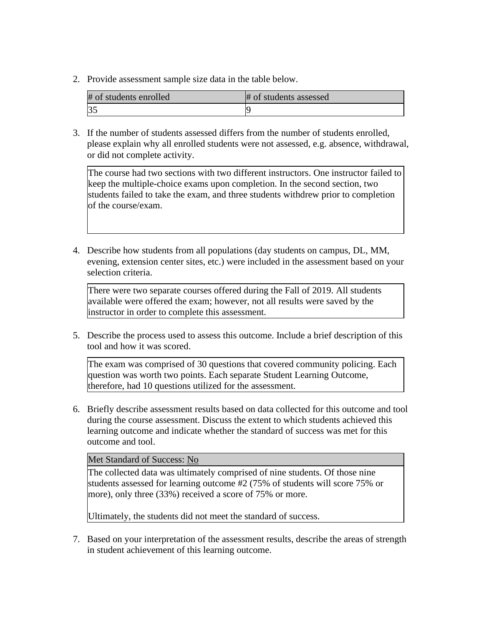2. Provide assessment sample size data in the table below.

| # of students enrolled | # of students assessed |
|------------------------|------------------------|
| 35                     |                        |

3. If the number of students assessed differs from the number of students enrolled, please explain why all enrolled students were not assessed, e.g. absence, withdrawal, or did not complete activity.

The course had two sections with two different instructors. One instructor failed to keep the multiple-choice exams upon completion. In the second section, two students failed to take the exam, and three students withdrew prior to completion of the course/exam.

4. Describe how students from all populations (day students on campus, DL, MM, evening, extension center sites, etc.) were included in the assessment based on your selection criteria.

There were two separate courses offered during the Fall of 2019. All students available were offered the exam; however, not all results were saved by the instructor in order to complete this assessment.

5. Describe the process used to assess this outcome. Include a brief description of this tool and how it was scored.

The exam was comprised of 30 questions that covered community policing. Each question was worth two points. Each separate Student Learning Outcome, therefore, had 10 questions utilized for the assessment.

6. Briefly describe assessment results based on data collected for this outcome and tool during the course assessment. Discuss the extent to which students achieved this learning outcome and indicate whether the standard of success was met for this outcome and tool.

Met Standard of Success: No

The collected data was ultimately comprised of nine students. Of those nine students assessed for learning outcome #2 (75% of students will score 75% or more), only three (33%) received a score of 75% or more.

Ultimately, the students did not meet the standard of success.

7. Based on your interpretation of the assessment results, describe the areas of strength in student achievement of this learning outcome.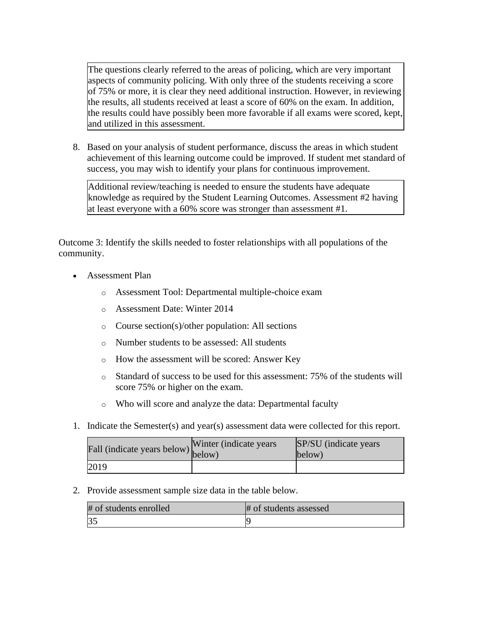The questions clearly referred to the areas of policing, which are very important aspects of community policing. With only three of the students receiving a score of 75% or more, it is clear they need additional instruction. However, in reviewing the results, all students received at least a score of 60% on the exam. In addition, the results could have possibly been more favorable if all exams were scored, kept, and utilized in this assessment.

8. Based on your analysis of student performance, discuss the areas in which student achievement of this learning outcome could be improved. If student met standard of success, you may wish to identify your plans for continuous improvement.

Additional review/teaching is needed to ensure the students have adequate knowledge as required by the Student Learning Outcomes. Assessment #2 having at least everyone with a 60% score was stronger than assessment #1.

Outcome 3: Identify the skills needed to foster relationships with all populations of the community.

- Assessment Plan
	- o Assessment Tool: Departmental multiple-choice exam
	- o Assessment Date: Winter 2014
	- o Course section(s)/other population: All sections
	- o Number students to be assessed: All students
	- o How the assessment will be scored: Answer Key
	- o Standard of success to be used for this assessment: 75% of the students will score 75% or higher on the exam.
	- o Who will score and analyze the data: Departmental faculty
- 1. Indicate the Semester(s) and year(s) assessment data were collected for this report.

| Fall (indicate years below) below) | Winter (indicate years) | SP/SU (indicate years)<br>below) |
|------------------------------------|-------------------------|----------------------------------|
| 2019                               |                         |                                  |

2. Provide assessment sample size data in the table below.

| # of students enrolled | # of students assessed |
|------------------------|------------------------|
| $\sim$                 |                        |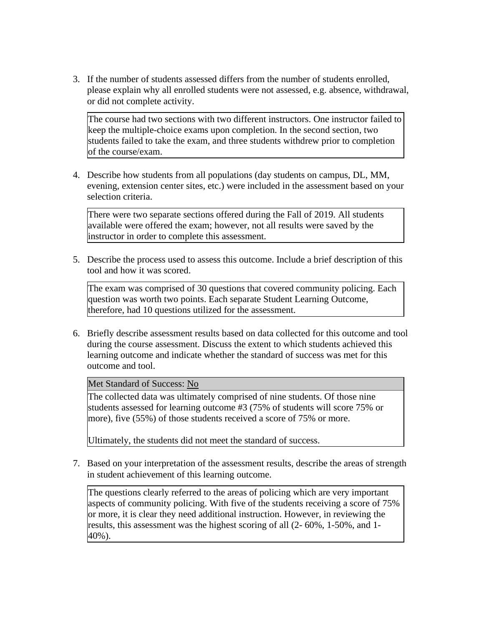3. If the number of students assessed differs from the number of students enrolled, please explain why all enrolled students were not assessed, e.g. absence, withdrawal, or did not complete activity.

The course had two sections with two different instructors. One instructor failed to keep the multiple-choice exams upon completion. In the second section, two students failed to take the exam, and three students withdrew prior to completion of the course/exam.

4. Describe how students from all populations (day students on campus, DL, MM, evening, extension center sites, etc.) were included in the assessment based on your selection criteria.

There were two separate sections offered during the Fall of 2019. All students available were offered the exam; however, not all results were saved by the instructor in order to complete this assessment.

5. Describe the process used to assess this outcome. Include a brief description of this tool and how it was scored.

The exam was comprised of 30 questions that covered community policing. Each question was worth two points. Each separate Student Learning Outcome, therefore, had 10 questions utilized for the assessment.

6. Briefly describe assessment results based on data collected for this outcome and tool during the course assessment. Discuss the extent to which students achieved this learning outcome and indicate whether the standard of success was met for this outcome and tool.

Met Standard of Success: No

The collected data was ultimately comprised of nine students. Of those nine students assessed for learning outcome #3 (75% of students will score 75% or more), five (55%) of those students received a score of 75% or more.

Ultimately, the students did not meet the standard of success.

7. Based on your interpretation of the assessment results, describe the areas of strength in student achievement of this learning outcome.

The questions clearly referred to the areas of policing which are very important aspects of community policing. With five of the students receiving a score of 75% or more, it is clear they need additional instruction. However, in reviewing the results, this assessment was the highest scoring of all (2- 60%, 1-50%, and 1- 40%).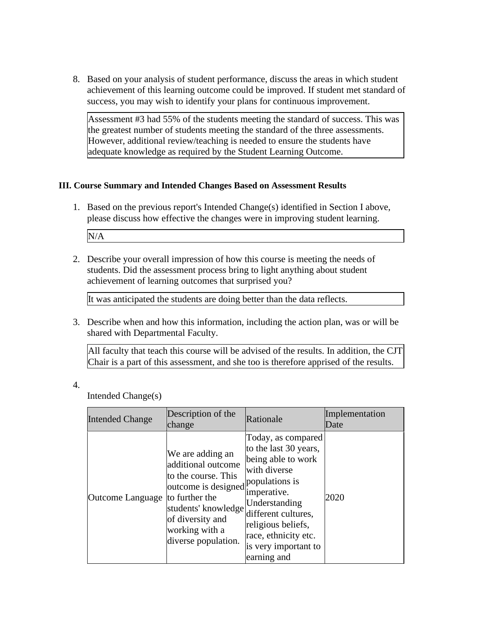8. Based on your analysis of student performance, discuss the areas in which student achievement of this learning outcome could be improved. If student met standard of success, you may wish to identify your plans for continuous improvement.

Assessment #3 had 55% of the students meeting the standard of success. This was the greatest number of students meeting the standard of the three assessments. However, additional review/teaching is needed to ensure the students have adequate knowledge as required by the Student Learning Outcome.

## **III. Course Summary and Intended Changes Based on Assessment Results**

- 1. Based on the previous report's Intended Change(s) identified in Section I above, please discuss how effective the changes were in improving student learning. N/A
- 2. Describe your overall impression of how this course is meeting the needs of students. Did the assessment process bring to light anything about student achievement of learning outcomes that surprised you?

It was anticipated the students are doing better than the data reflects.

3. Describe when and how this information, including the action plan, was or will be shared with Departmental Faculty.

All faculty that teach this course will be advised of the results. In addition, the CJT Chair is a part of this assessment, and she too is therefore apprised of the results.

4.

Intended Change(s)

| <b>Intended Change</b> | Description of the<br>change                                                                                                                                                                              | Rationale                                                                                                                                                                                                                     | Implementation<br>Date |
|------------------------|-----------------------------------------------------------------------------------------------------------------------------------------------------------------------------------------------------------|-------------------------------------------------------------------------------------------------------------------------------------------------------------------------------------------------------------------------------|------------------------|
| Outcome Language       | We are adding an<br>additional outcome<br>to the course. This<br>outcome is designed populations is<br>to further the<br>students' knowledge<br>of diversity and<br>working with a<br>diverse population. | Today, as compared<br>to the last 30 years,<br>being able to work<br>with diverse<br>imperative.<br>Understanding<br>different cultures,<br>religious beliefs,<br>race, ethnicity etc.<br>is very important to<br>earning and | 2020                   |